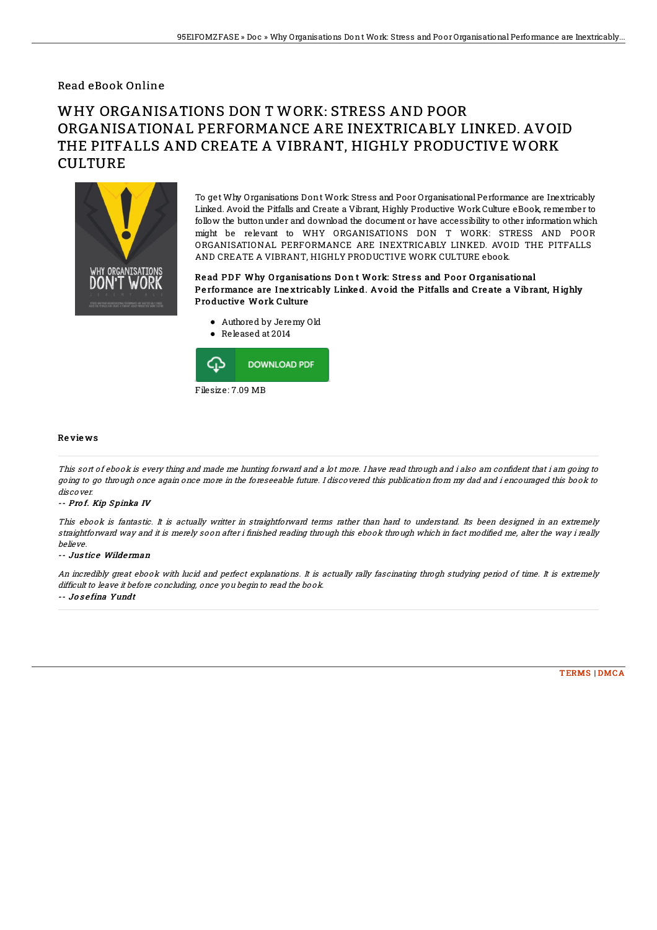### Read eBook Online

# WHY ORGANISATIONS DON T WORK: STRESS AND POOR ORGANISATIONAL PERFORMANCE ARE INEXTRICABLY LINKED. AVOID THE PITFALLS AND CREATE A VIBRANT, HIGHLY PRODUCTIVE WORK **CULTURE**



To get Why Organisations Dont Work: Stress and Poor Organisational Performance are Inextricably Linked. Avoid the Pitfalls and Create a Vibrant, Highly Productive Work Culture eBook, remember to follow the buttonunder and download the document or have accessibility to other information which might be relevant to WHY ORGANISATIONS DON T WORK: STRESS AND POOR ORGANISATIONAL PERFORMANCE ARE INEXTRICABLY LINKED. AVOID THE PITFALLS AND CREATE A VIBRANT, HIGHLY PRODUCTIVE WORK CULTURE ebook.

#### Read PDF Why Organisations Don t Work: Stress and Poor Organisational Performance are Inextricably Linked. Avoid the Pitfalls and Create a Vibrant, Highly Productive Work Culture

- Authored by Jeremy Old
- Released at 2014



#### Re vie ws

This sort of ebook is every thing and made me hunting forward and a lot more. I have read through and i also am confident that i am going to going to go through once again once more in the foreseeable future. I discovered this publication from my dad and i encouraged this book to discover.

#### -- Prof. Kip Spinka IV

This ebook is fantastic. It is actually writter in straightforward terms rather than hard to understand. Its been designed in an extremely straightforward way and it is merely soon after i finished reading through this ebook through which in fact modified me, alter the way i really believe.

#### -- Justice Wilderman

An incredibly great ebook with lucid and perfect explanations. It is actually rally fascinating throgh studying period of time. It is extremely difficult to leave it before concluding, once you begin to read the book. -- Jo s <sup>e</sup> fina Yundt